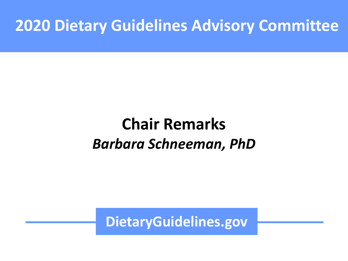#### **2020 Dietary Guidelines Advisory Committee**

## **Chair Remarks** *Barbara Schneeman, PhD*

**DietaryGuidelines.gov**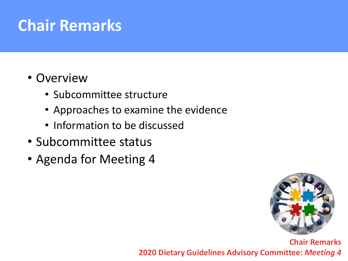## **Chair Remarks**

#### • Overview

- Subcommittee structure
- Approaches to examine the evidence
- Information to be discussed
- Subcommittee status
- Agenda for Meeting 4

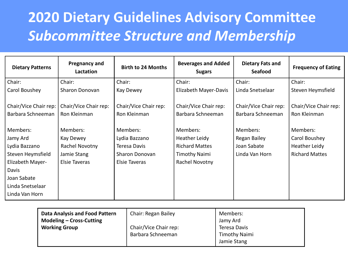### **2020 Dietary Guidelines Advisory Committee** *Subcommittee Structure and Membership*

| <b>Dietary Patterns</b>                    | <b>Pregnancy and</b><br>Lactation     | <b>Birth to 24 Months</b>             | <b>Beverages and Added</b><br><b>Sugars</b> | <b>Dietary Fats and</b><br>Seafood         | <b>Frequency of Eating</b>            |
|--------------------------------------------|---------------------------------------|---------------------------------------|---------------------------------------------|--------------------------------------------|---------------------------------------|
| Chair:                                     | Chair:                                | Chair:                                | Chair:                                      | Chair:                                     | Chair:                                |
| Carol Boushey                              | Sharon Donovan                        | Kay Dewey                             | Elizabeth Mayer-Davis                       | Linda Snetselaar                           | Steven Heymsfield                     |
| Chair/Vice Chair rep:<br>Barbara Schneeman | Chair/Vice Chair rep:<br>Ron Kleinman | Chair/Vice Chair rep:<br>Ron Kleinman | Chair/Vice Chair rep:<br>Barbara Schneeman  | Chair/Vice Chair rep:<br>Barbara Schneeman | Chair/Vice Chair rep:<br>Ron Kleinman |
| Members:                                   | Members:                              | Members:                              | Members:                                    | Members:                                   | Members:                              |
| Jamy Ard                                   | Kay Dewey                             | Lydia Bazzano                         | Heather Leidy                               | Regan Bailey                               | Carol Boushey                         |
| Lydia Bazzano                              | Rachel Novotny                        | Teresa Davis                          | <b>Richard Mattes</b>                       | Joan Sabate                                | Heather Leidy                         |
| Steven Heymsfield                          | Jamie Stang                           | Sharon Donovan                        | <b>Timothy Naimi</b>                        | Linda Van Horn                             | <b>Richard Mattes</b>                 |
| Elizabeth Mayer-                           | Elsie Taveras                         | Elsie Taveras                         | Rachel Novotny                              |                                            |                                       |
| Davis                                      |                                       |                                       |                                             |                                            |                                       |
| Joan Sabate                                |                                       |                                       |                                             |                                            |                                       |
| Linda Snetselaar                           |                                       |                                       |                                             |                                            |                                       |
| Linda Van Horn                             |                                       |                                       |                                             |                                            |                                       |

| <b>Data Analysis and Food Pattern</b><br>Chair: Regan Bailey<br><b>Modeling - Cross-Cutting</b><br>Chair/Vice Chair rep:<br><b>Working Group</b><br>Barbara Schneeman | Members:<br>Jamy Ard<br>Teresa Davis<br><b>Timothy Naimi</b><br>Jamie Stang |
|-----------------------------------------------------------------------------------------------------------------------------------------------------------------------|-----------------------------------------------------------------------------|
|-----------------------------------------------------------------------------------------------------------------------------------------------------------------------|-----------------------------------------------------------------------------|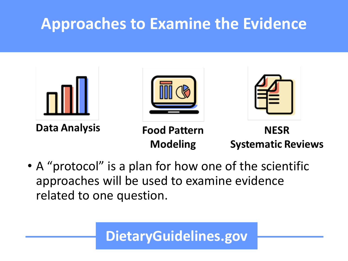## **Approaches to Examine the Evidence**



• A "protocol" is a plan for how one of the scientific approaches will be used to examine evidence related to one question.

#### **DietaryGuidelines.gov**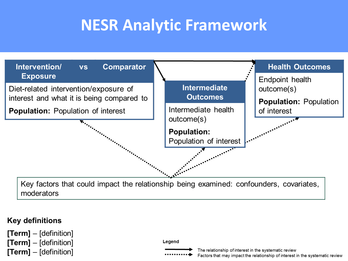## **NESR Analytic Framework**



Key factors that could impact the relationship being examined: confounders, covariates, moderators

#### **Key definitions**

 $[Term] - [definition]$  $[Term] - [definition]$  $[Term] - [definition]$ 



The relationship of interest in the systematic review Factors that may impact the relationship of interest in the systematic review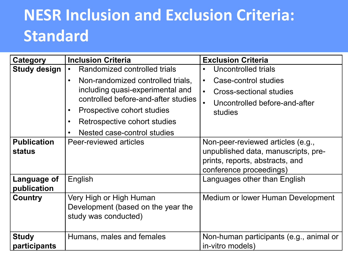# **NESR Inclusion and Exclusion Criteria: Standard**

| Category                     | <b>Inclusion Criteria</b>                                                                                                                                                                                                                                                                                  | <b>Exclusion Criteria</b>                                                                                                                    |  |
|------------------------------|------------------------------------------------------------------------------------------------------------------------------------------------------------------------------------------------------------------------------------------------------------------------------------------------------------|----------------------------------------------------------------------------------------------------------------------------------------------|--|
| <b>Study design</b>          | Randomized controlled trials<br>$\bullet$<br>Non-randomized controlled trials,<br>$\bullet$<br>including quasi-experimental and<br>controlled before-and-after studies<br>Prospective cohort studies<br>$\bullet$<br>Retrospective cohort studies<br>$\bullet$<br>Nested case-control studies<br>$\bullet$ | Uncontrolled trials<br>Case-control studies<br>$\bullet$<br>Cross-sectional studies<br>$\bullet$<br>Uncontrolled before-and-after<br>studies |  |
| <b>Publication</b><br>status | Peer-reviewed articles                                                                                                                                                                                                                                                                                     | Non-peer-reviewed articles (e.g.,<br>unpublished data, manuscripts, pre-<br>prints, reports, abstracts, and<br>conference proceedings)       |  |
| Language of<br>publication   | English                                                                                                                                                                                                                                                                                                    | Languages other than English                                                                                                                 |  |
| Country                      | Very High or High Human<br>Development (based on the year the<br>study was conducted)                                                                                                                                                                                                                      | Medium or lower Human Development                                                                                                            |  |
| <b>Study</b><br>participants | Humans, males and females                                                                                                                                                                                                                                                                                  | Non-human participants (e.g., animal or<br>in-vitro models)                                                                                  |  |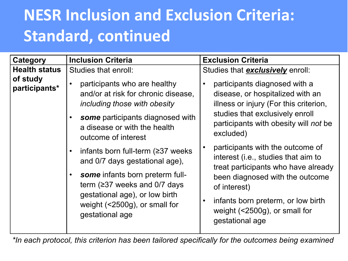# **NESR Inclusion and Exclusion Criteria: Standard, continued**

| Category                  | <b>Inclusion Criteria</b>                                                                                                                                                                                                                                                                                                                                                                                                                         | <b>Exclusion Criteria</b>                                                                                                                                                                                                                                                                                                                                                                                                                                                                        |  |
|---------------------------|---------------------------------------------------------------------------------------------------------------------------------------------------------------------------------------------------------------------------------------------------------------------------------------------------------------------------------------------------------------------------------------------------------------------------------------------------|--------------------------------------------------------------------------------------------------------------------------------------------------------------------------------------------------------------------------------------------------------------------------------------------------------------------------------------------------------------------------------------------------------------------------------------------------------------------------------------------------|--|
| <b>Health status</b>      | Studies that enroll:                                                                                                                                                                                                                                                                                                                                                                                                                              | Studies that <b>exclusively</b> enroll:                                                                                                                                                                                                                                                                                                                                                                                                                                                          |  |
| of study<br>participants* | participants who are healthy<br>and/or at risk for chronic disease,<br>including those with obesity<br>some participants diagnosed with<br>a disease or with the health<br>outcome of interest<br>infants born full-term $(≥37$ weeks<br>and 0/7 days gestational age),<br><b>some</b> infants born preterm full-<br>term ( $\geq$ 37 weeks and 0/7 days<br>gestational age), or low birth<br>weight $($ <2500g), or small for<br>gestational age | participants diagnosed with a<br>disease, or hospitalized with an<br>illness or injury (For this criterion,<br>studies that exclusively enroll<br>participants with obesity will not be<br>excluded)<br>participants with the outcome of<br>$\bullet$<br>interest (i.e., studies that aim to<br>treat participants who have already<br>been diagnosed with the outcome<br>of interest)<br>infants born preterm, or low birth<br>$\bullet$<br>weight $($ <2500g), or small for<br>gestational age |  |
|                           |                                                                                                                                                                                                                                                                                                                                                                                                                                                   |                                                                                                                                                                                                                                                                                                                                                                                                                                                                                                  |  |

*\*In each protocol, this criterion has been tailored specifically for the outcomes being examined*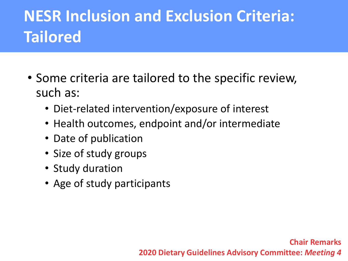# **NESR Inclusion and Exclusion Criteria: Tailored**

- Some criteria are tailored to the specific review, such as:
	- Diet-related intervention/exposure of interest
	- Health outcomes, endpoint and/or intermediate
	- Date of publication
	- Size of study groups
	- Study duration
	- Age of study participants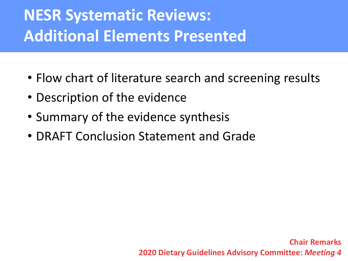# **NESR Systematic Reviews: Additional Elements Presented**

- Flow chart of literature search and screening results
- Description of the evidence
- Summary of the evidence synthesis
- DRAFT Conclusion Statement and Grade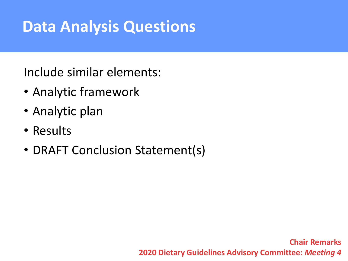## **Data Analysis Questions**

Include similar elements:

- Analytic framework
- Analytic plan
- Results
- DRAFT Conclusion Statement(s)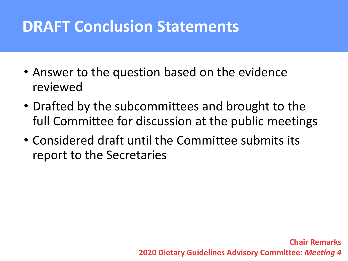## **DRAFT Conclusion Statements**

- Answer to the question based on the evidence reviewed
- Drafted by the subcommittees and brought to the full Committee for discussion at the public meetings
- Considered draft until the Committee submits its report to the Secretaries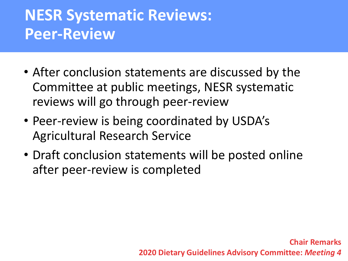## **NESR Systematic Reviews: Peer-Review**

- After conclusion statements are discussed by the Committee at public meetings, NESR systematic reviews will go through peer-review
- Peer-review is being coordinated by USDA's Agricultural Research Service
- Draft conclusion statements will be posted online after peer-review is completed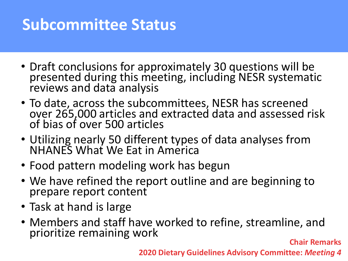## **Subcommittee Status**

- Draft conclusions for approximately 30 questions will be presented during this meeting, including NESR systematic reviews and data analysis
- To date, across the subcommittees, NESR has screened over 265,000 articles and extracted data and assessed risk of bias of over 500 articles
- Utilizing nearly 50 different types of data analyses from NHANES What We Eat in America
- Food pattern modeling work has begun
- We have refined the report outline and are beginning to prepare report content
- Task at hand is large
- Members and staff have worked to refine, streamline, and prioritize remaining work **Chair Remarks**

**2020 Dietary Guidelines Advisory Committee:** *Meeting 4*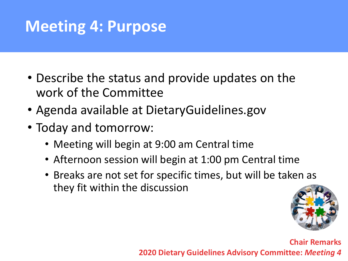## **Meeting 4: Purpose**

- Describe the status and provide updates on the work of the Committee
- Agenda available at DietaryGuidelines.gov
- Today and tomorrow:
	- Meeting will begin at 9:00 am Central time
	- Afternoon session will begin at 1:00 pm Central time
	- Breaks are not set for specific times, but will be taken as they fit within the discussion

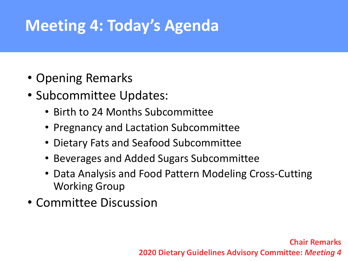## **Meeting 4: Today's Agenda**

- Opening Remarks
- Subcommittee Updates:
	- Birth to 24 Months Subcommittee
	- Pregnancy and Lactation Subcommittee
	- Dietary Fats and Seafood Subcommittee
	- Beverages and Added Sugars Subcommittee
	- Data Analysis and Food Pattern Modeling Cross-Cutting Working Group
- Committee Discussion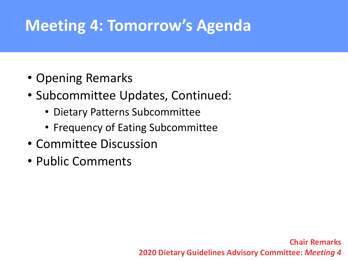## **Meeting 4: Tomorrow's Agenda**

- Opening Remarks
- Subcommittee Updates, Continued:
	- Dietary Patterns Subcommittee
	- Frequency of Eating Subcommittee
- Committee Discussion
- Public Comments